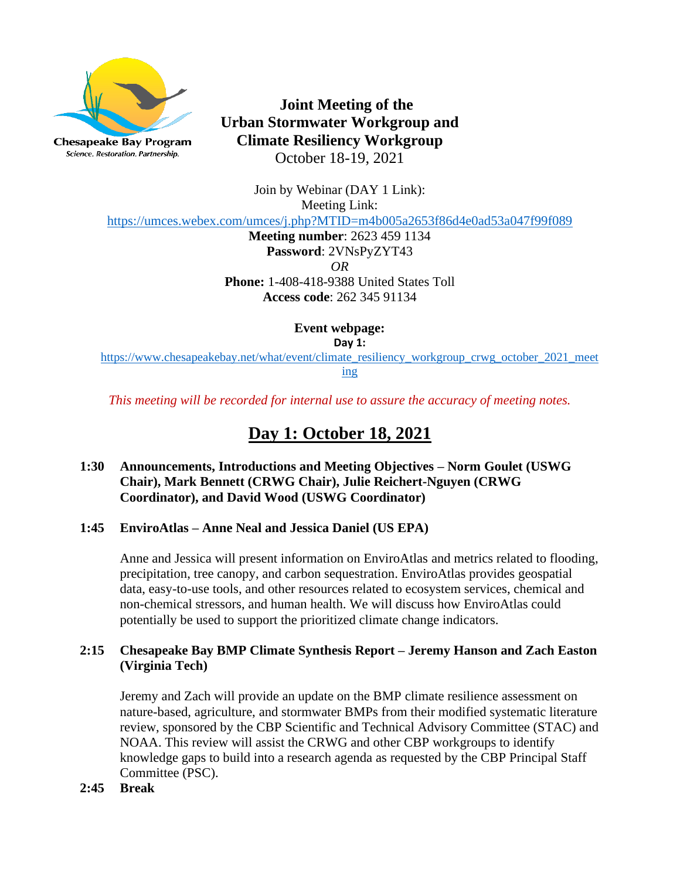

**Joint Meeting of the Urban Stormwater Workgroup and Climate Resiliency Workgroup** October 18-19, 2021

Join by Webinar (DAY 1 Link): Meeting Link:

<https://umces.webex.com/umces/j.php?MTID=m4b005a2653f86d4e0ad53a047f99f089>

**Meeting number**: 2623 459 1134 **Password**: 2VNsPyZYT43 *OR*

**Phone:** 1-408-418-9388 United States Toll **Access code**: 262 345 91134

**Event webpage:**

**Day 1:** 

[https://www.chesapeakebay.net/what/event/climate\\_resiliency\\_workgroup\\_crwg\\_october\\_2021\\_meet](https://www.chesapeakebay.net/what/event/climate_resiliency_workgroup_crwg_october_2021_meeting) [ing](https://www.chesapeakebay.net/what/event/climate_resiliency_workgroup_crwg_october_2021_meeting)

*This meeting will be recorded for internal use to assure the accuracy of meeting notes.*

# **Day 1: October 18, 2021**

# **1:30 Announcements, Introductions and Meeting Objectives – Norm Goulet (USWG Chair), Mark Bennett (CRWG Chair), Julie Reichert-Nguyen (CRWG Coordinator), and David Wood (USWG Coordinator)**

# **1:45 EnviroAtlas – Anne Neal and Jessica Daniel (US EPA)**

Anne and Jessica will present information on EnviroAtlas and metrics related to flooding, precipitation, tree canopy, and carbon sequestration. EnviroAtlas provides geospatial data, easy-to-use tools, and other resources related to ecosystem services, chemical and non-chemical stressors, and human health. We will discuss how EnviroAtlas could potentially be used to support the prioritized climate change indicators.

# **2:15 Chesapeake Bay BMP Climate Synthesis Report – Jeremy Hanson and Zach Easton (Virginia Tech)**

Jeremy and Zach will provide an update on the BMP climate resilience assessment on nature-based, agriculture, and stormwater BMPs from their modified systematic literature review, sponsored by the CBP Scientific and Technical Advisory Committee (STAC) and NOAA. This review will assist the CRWG and other CBP workgroups to identify knowledge gaps to build into a research agenda as requested by the CBP Principal Staff Committee (PSC).

#### **2:45 Break**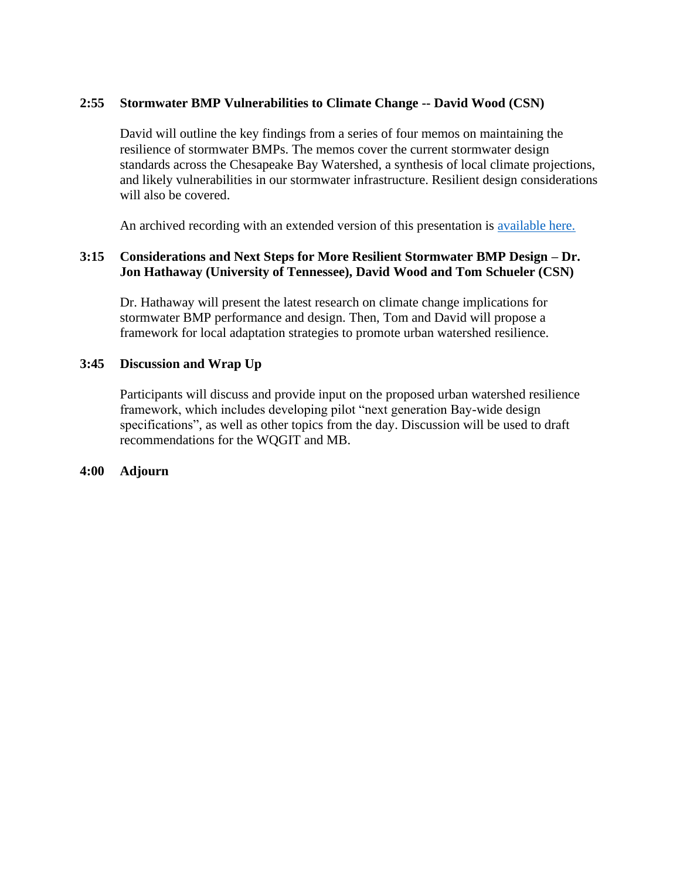### **2:55 Stormwater BMP Vulnerabilities to Climate Change -- David Wood (CSN)**

David will outline the key findings from a series of four memos on maintaining the resilience of stormwater BMPs. The memos cover the current stormwater design standards across the Chesapeake Bay Watershed, a synthesis of local climate projections, and likely vulnerabilities in our stormwater infrastructure. Resilient design considerations will also be covered.

An archived recording with an extended version of this presentation is [available here.](https://chesapeakestormwater.net/events/bmp_vunerability_resilience/)

# **3:15 Considerations and Next Steps for More Resilient Stormwater BMP Design – Dr. Jon Hathaway (University of Tennessee), David Wood and Tom Schueler (CSN)**

Dr. Hathaway will present the latest research on climate change implications for stormwater BMP performance and design. Then, Tom and David will propose a framework for local adaptation strategies to promote urban watershed resilience.

## **3:45 Discussion and Wrap Up**

Participants will discuss and provide input on the proposed urban watershed resilience framework, which includes developing pilot "next generation Bay-wide design specifications", as well as other topics from the day. Discussion will be used to draft recommendations for the WQGIT and MB.

#### **4:00 Adjourn**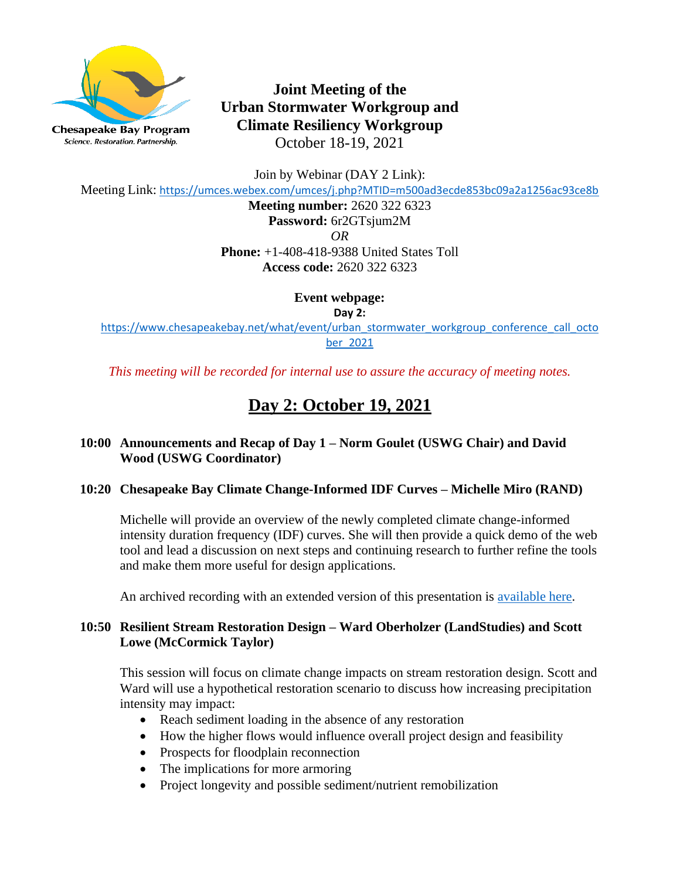

**Joint Meeting of the Urban Stormwater Workgroup and Climate Resiliency Workgroup** October 18-19, 2021

Join by Webinar (DAY 2 Link):

Meeting Link: <https://umces.webex.com/umces/j.php?MTID=m500ad3ecde853bc09a2a1256ac93ce8b>

**Meeting number:** 2620 322 6323

**Password:** 6r2GTsjum2M

*OR*

**Phone:** +1-408-418-9388 United States Toll **Access code:** 2620 322 6323

**Event webpage:**

**Day 2:**

[https://www.chesapeakebay.net/what/event/urban\\_stormwater\\_workgroup\\_conference\\_call\\_octo](https://www.chesapeakebay.net/what/event/urban_stormwater_workgroup_conference_call_october_2021) [ber\\_2021](https://www.chesapeakebay.net/what/event/urban_stormwater_workgroup_conference_call_october_2021)

*This meeting will be recorded for internal use to assure the accuracy of meeting notes.*

# **Day 2: October 19, 2021**

# **10:00 Announcements and Recap of Day 1 – Norm Goulet (USWG Chair) and David Wood (USWG Coordinator)**

# **10:20 Chesapeake Bay Climate Change-Informed IDF Curves – Michelle Miro (RAND)**

Michelle will provide an overview of the newly completed climate change-informed intensity duration frequency (IDF) curves. She will then provide a quick demo of the web tool and lead a discussion on next steps and continuing research to further refine the tools and make them more useful for design applications.

An archived recording with an extended version of this presentation is [available here.](https://chesapeakestormwater.net/events/projected-chesapeake-idf-curves/)

## **10:50 Resilient Stream Restoration Design – Ward Oberholzer (LandStudies) and Scott Lowe (McCormick Taylor)**

This session will focus on climate change impacts on stream restoration design. Scott and Ward will use a hypothetical restoration scenario to discuss how increasing precipitation intensity may impact:

- Reach sediment loading in the absence of any restoration
- How the higher flows would influence overall project design and feasibility
- Prospects for floodplain reconnection
- The implications for more armoring
- Project longevity and possible sediment/nutrient remobilization